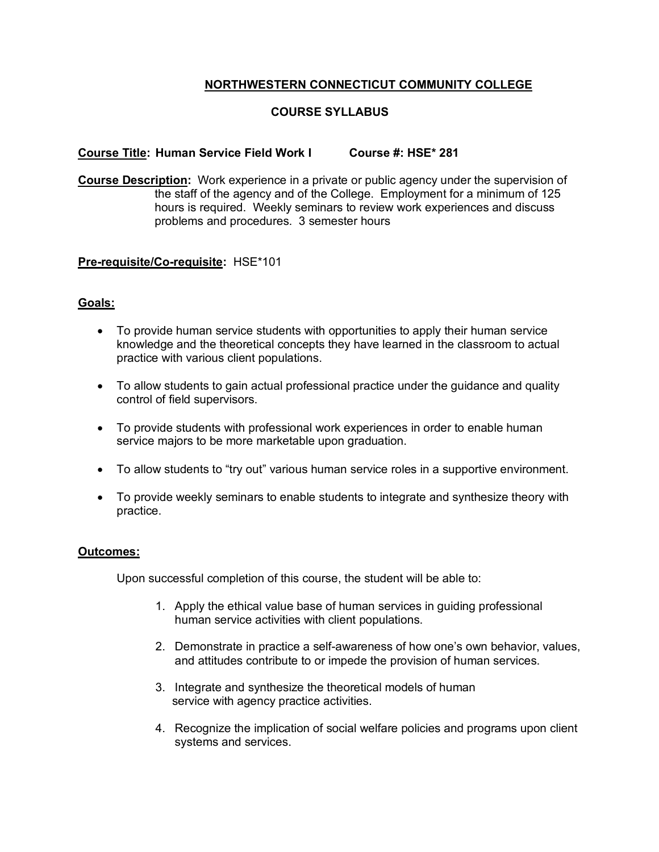# **NORTHWESTERN CONNECTICUT COMMUNITY COLLEGE**

# **COURSE SYLLABUS**

### **Course Title: Human Service Field Work I Course #: HSE\* 281**

**Course Description:** Work experience in a private or public agency under the supervision of the staff of the agency and of the College. Employment for a minimum of 125 hours is required. Weekly seminars to review work experiences and discuss problems and procedures. 3 semester hours

#### **Pre-requisite/Co-requisite:** HSE\*101

### **Goals:**

- To provide human service students with opportunities to apply their human service knowledge and the theoretical concepts they have learned in the classroom to actual practice with various client populations.
- To allow students to gain actual professional practice under the guidance and quality control of field supervisors.
- To provide students with professional work experiences in order to enable human service majors to be more marketable upon graduation.
- To allow students to "try out" various human service roles in a supportive environment.
- To provide weekly seminars to enable students to integrate and synthesize theory with practice.

#### **Outcomes:**

Upon successful completion of this course, the student will be able to:

- 1. Apply the ethical value base of human services in guiding professional human service activities with client populations.
- 2. Demonstrate in practice a self-awareness of how one's own behavior, values, and attitudes contribute to or impede the provision of human services.
- 3. Integrate and synthesize the theoretical models of human service with agency practice activities.
- 4. Recognize the implication of social welfare policies and programs upon client systems and services.